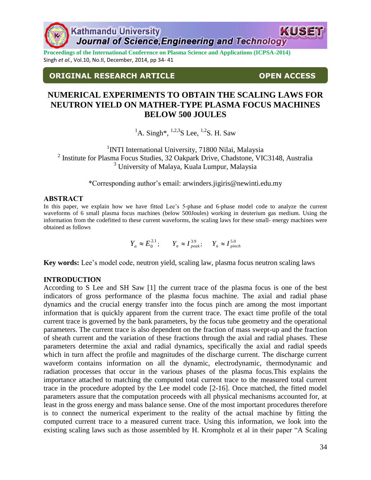**Proceedings of the International Conference on Plasma Science and Applications (ICPSA-2014)** Singh *et al.*, Vol.10, No.II, December, 2014, pp 34- 41

# **ORIGINAL RESEARCH ARTICLE OPEN ACCESS**

# **NUMERICAL EXPERIMENTS TO OBTAIN THE SCALING LAWS FOR NEUTRON YIELD ON MATHER-TYPE PLASMA FOCUS MACHINES BELOW 500 JOULES**

<sup>1</sup>A. Singh<sup>\*</sup>, <sup>1,2,3</sup>S Lee, <sup>1,2</sup>S. H. Saw

<sup>1</sup>INTI International University, 71800 Nilai, Malaysia 2 Institute for Plasma Focus Studies, 32 Oakpark Drive, Chadstone, VIC3148, Australia <sup>3</sup> University of Malaya, Kuala Lumpur, Malaysia

\*Corresponding author's email: arwinders.jigiris@newinti.edu.my

#### **ABSTRACT**

In this paper, we explain how we have fitted Lee's 5-phase and 6-phase model code to analyze the current waveforms of 6 small plasma focus machines (below 500Joules) working in deuterium gas medium. Using the information from the codefitted to these current waveforms, the scaling laws for these small- energy machines were obtained as follows

 $Y_n \approx E_0^{2.1}$ ;  $Y_n \approx I_{peak}^{3.9}$ ;  $Y_n \approx I_{pinch}^{5.0}$ 

**Key words:** Lee's model code, neutron yield, scaling law, plasma focus neutron scaling laws

## **INTRODUCTION**

According to S Lee and SH Saw [1] the current trace of the plasma focus is one of the best indicators of gross performance of the plasma focus machine. The axial and radial phase dynamics and the crucial energy transfer into the focus pinch are among the most important information that is quickly apparent from the current trace. The exact time profile of the total current trace is governed by the bank parameters, by the focus tube geometry and the operational parameters. The current trace is also dependent on the fraction of mass swept-up and the fraction of sheath current and the variation of these fractions through the axial and radial phases. These parameters determine the axial and radial dynamics, specifically the axial and radial speeds which in turn affect the profile and magnitudes of the discharge current. The discharge current waveform contains information on all the dynamic, electrodynamic, thermodynamic and radiation processes that occur in the various phases of the plasma focus.This explains the importance attached to matching the computed total current trace to the measured total current trace in the procedure adopted by the Lee model code [2-16]. Once matched, the fitted model parameters assure that the computation proceeds with all physical mechanisms accounted for, at least in the gross energy and mass balance sense. One of the most important procedures therefore is to connect the numerical experiment to the reality of the actual machine by fitting the computed current trace to a measured current trace. Using this information, we look into the existing scaling laws such as those assembled by H. Krompholz et al in their paper "A Scaling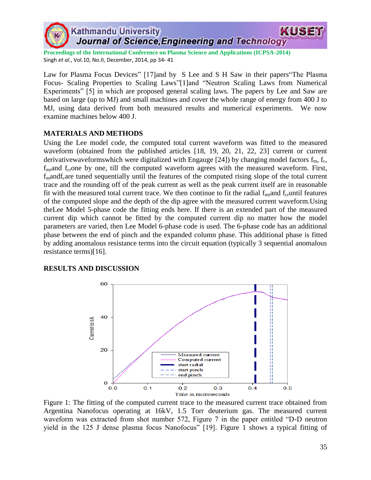

**Proceedings of the International Conference on Plasma Science and Applications (ICPSA-2014)** Singh *et al.*, Vol.10, No.II, December, 2014, pp 34- 41

Law for Plasma Focus Devices" [17]and by S Lee and S H Saw in their papers The Plasma Focus- Scaling Properties to Scaling Laws"[1]and "Neutron Scaling Laws from Numerical Experiments" [5] in which are proposed general scaling laws. The papers by Lee and Saw are based on large (up to MJ) and small machines and cover the whole range of energy from 400 J to MJ, using data derived from both measured results and numerical experiments. We now examine machines below 400 J.

### **MATERIALS AND METHODS**

Using the Lee model code, the computed total current waveform was fitted to the measured waveform (obtained from the published articles [18, 19, 20, 21, 22, 23] current or current derivativewaveformswhich were digitalized with Engauge [24]) by changing model factors  $f_m$ ,  $f_c$ ,  $f_{\text{mr}}$  and  $f_{\text{cr}}$  one, till the computed waveform agrees with the measured waveform. First, f<sub>m</sub>andf<sub>c</sub>are tuned sequentially until the features of the computed rising slope of the total current trace and the rounding off of the peak current as well as the peak current itself are in reasonable fit with the measured total current trace. We then continue to fit the radial  $f_{\text{mr}}$  and  $f_{\text{cr}}$  until features of the computed slope and the depth of the dip agree with the measured current waveform.Using theLee Model 5-phase code the fitting ends here. If there is an extended part of the measured current dip which cannot be fitted by the computed current dip no matter how the model parameters are varied, then Lee Model 6-phase code is used. The 6-phase code has an additional phase between the end of pinch and the expanded column phase. This additional phase is fitted by adding anomalous resistance terms into the circuit equation (typically 3 sequential anomalous resistance terms)[16].

#### **RESULTS AND DISCUSSION**



Figure 1: The fitting of the computed current trace to the measured current trace obtained from Argentina Nanofocus operating at 16kV, 1.5 Torr deuterium gas. The measured current waveform was extracted from shot number 572, Figure 7 in the paper entitled "D-D neutron" yield in the 125 J dense plasma focus Nanofocus" [19]. Figure 1 shows a typical fitting of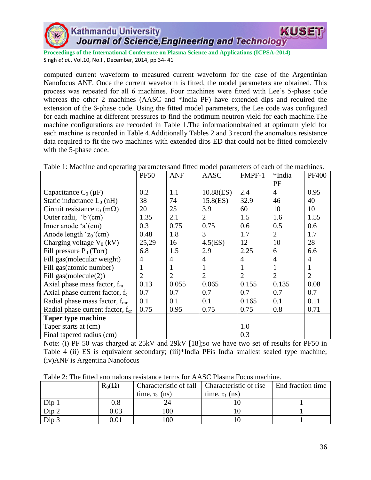**Proceedings of the International Conference on Plasma Science and Applications (ICPSA-2014)** Singh *et al.*, Vol.10, No.II, December, 2014, pp 34- 41

computed current waveform to measured current waveform for the case of the Argentinian Nanofocus ANF. Once the current waveform is fitted, the model parameters are obtained. This process was repeated for all 6 machines. Four machines were fitted with Lee's 5-phase code whereas the other 2 machines (AASC and \*India PF) have extended dips and required the extension of the 6-phase code. Using the fitted model parameters, the Lee code was configured for each machine at different pressures to find the optimum neutron yield for each machine.The machine configurations are recorded in Table 1.The informationobtained at optimum yield for each machine is recorded in Table 4.Additionally Tables 2 and 3 record the anomalous resistance data required to fit the two machines with extended dips ED that could not be fitted completely with the 5-phase code.

| ruore 1. maenine una operanne, parametersana mued moder parameters or eaen | <b>PF50</b>    | <b>ANF</b>     | AASC           | FMPF-1         | *India         | <b>PF400</b>   |
|----------------------------------------------------------------------------|----------------|----------------|----------------|----------------|----------------|----------------|
|                                                                            |                |                |                |                | PF             |                |
| Capacitance $C_0(\mu F)$                                                   | 0.2            | 1.1            | 10.88(ES)      | 2.4            | $\overline{4}$ | 0.95           |
| Static inductance $L_0(nH)$                                                | 38             | 74             | $15.8$ (ES)    | 32.9           | 46             | 40             |
| Circuit resistance $r_0$ (m $\Omega$ )                                     | 20             | 25             | 3.9            | 60             | 10             | 10             |
| Outer radii, $b'(cm)$                                                      | 1.35           | 2.1            | $\overline{2}$ | 1.5            | 1.6            | 1.55           |
| Inner anode $a'(cm)$                                                       | 0.3            | 0.75           | 0.75           | 0.6            | 0.5            | 0.6            |
| Anode length ' $z_0$ '(cm)                                                 | 0.48           | 1.8            | 3              | 1.7            | $\overline{2}$ | 1.7            |
| Charging voltage $V_0$ (kV)                                                | 25,29          | 16             | 4.5(ES)        | 12             | 10             | 28             |
| Fill pressure $P_0$ (Torr)                                                 | 6.8            | 1.5            | 2.9            | 2.25           | 6              | 6.6            |
| Fill gas(molecular weight)                                                 | 4              | $\overline{4}$ | 4              | $\overline{4}$ | $\overline{4}$ | 4              |
| Fill gas (atomic number)                                                   |                |                | 1              |                | 1              | 1              |
| Fill $gas(molecule(2))$                                                    | $\overline{2}$ | $\overline{2}$ | $\overline{2}$ | $\overline{2}$ | $\overline{2}$ | $\overline{2}$ |
| Axial phase mass factor, $f_m$                                             | 0.13           | 0.055          | 0.065          | 0.155          | 0.135          | 0.08           |
| Axial phase current factor, $f_c$                                          | 0.7            | 0.7            | 0.7            | 0.7            | 0.7            | 0.7            |
| Radial phase mass factor, $f_{mr}$                                         | 0.1            | 0.1            | 0.1            | 0.165          | 0.1            | 0.11           |
| Radial phase current factor, $f_{cr}$                                      | 0.75           | 0.95           | 0.75           | 0.75           | 0.8            | 0.71           |
| <b>Taper type machine</b>                                                  |                |                |                |                |                |                |
| Taper starts at (cm)                                                       |                |                |                | 1.0            |                |                |
| Final tapered radius (cm)                                                  |                |                |                | 0.3            |                |                |

Table 1: Machine and operating parametersand fitted model parameters of each of the machines.

Note: (i) PF 50 was charged at 25kV and 29kV [18];so we have two set of results for PF50 in Table 4 (ii) ES is equivalent secondary; (iii)\*India PFis India smallest sealed type machine; (iv)ANF is Argentina Nanofocus

| Tuble $\omega$ , The Hueu anomalous resistance terms for the motion I ocus much not |               |                                                 |                     |                   |  |  |  |
|-------------------------------------------------------------------------------------|---------------|-------------------------------------------------|---------------------|-------------------|--|--|--|
|                                                                                     | $R_0(\Omega)$ | Characteristic of fall   Characteristic of rise |                     | End fraction time |  |  |  |
|                                                                                     |               | time, $\tau_2$ (ns)                             | time, $\tau_1$ (ns) |                   |  |  |  |
| Dip 1                                                                               | 0.8           |                                                 |                     |                   |  |  |  |
| Dip2                                                                                | 0.03          | 100                                             |                     |                   |  |  |  |
| Dip <sub>3</sub>                                                                    | 0.01          | 100                                             |                     |                   |  |  |  |

Table 2: The fitted anomalous resistance terms for AASC Plasma Focus machine.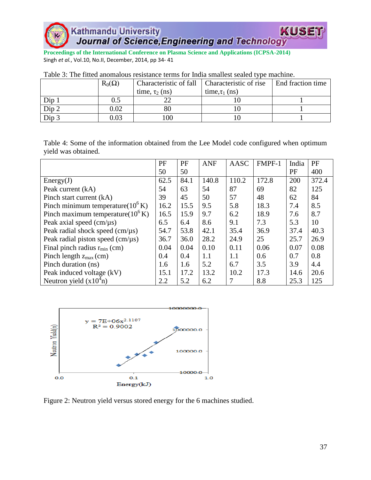**Proceedings of the International Conference on Plasma Science and Applications (ICPSA-2014)** Singh *et al.*, Vol.10, No.II, December, 2014, pp 34- 41

|                  | $R_0(\Omega)$ | Characteristic of fall | Characteristic of rise | End fraction time |  |
|------------------|---------------|------------------------|------------------------|-------------------|--|
|                  |               | time, $\tau_2$ (ns)    | time, $\tau_1$ (ns)    |                   |  |
| $Dip_1$          |               |                        |                        |                   |  |
| Dip 2            | 0.02          | $80\,$                 |                        |                   |  |
| Dip <sub>3</sub> | 0.03          | 100                    |                        |                   |  |

| Table 3: The fitted anomalous resistance terms for India smallest sealed type machine. |
|----------------------------------------------------------------------------------------|
|----------------------------------------------------------------------------------------|

Table 4: Some of the information obtained from the Lee Model code configured when optimum yield was obtained.

|                                                    | PF   | PF   | <b>ANF</b> | AASC  | FMPF-1 | India | PF    |
|----------------------------------------------------|------|------|------------|-------|--------|-------|-------|
|                                                    | 50   | 50   |            |       |        | PF    | 400   |
| Energy(J)                                          | 62.5 | 84.1 | 140.8      | 110.2 | 172.8  | 200   | 372.4 |
| Peak current (kA)                                  | 54   | 63   | 54         | 87    | 69     | 82    | 125   |
| Pinch start current (kA)                           | 39   | 45   | 50         | 57    | 48     | 62    | 84    |
| Pinch minimum temperature $(10^6 \text{ K})$       | 16.2 | 15.5 | 9.5        | 5.8   | 18.3   | 7.4   | 8.5   |
| Pinch maximum temperature( $10^6$ K)               | 16.5 | 15.9 | 9.7        | 6.2   | 18.9   | 7.6   | 8.7   |
| Peak axial speed $\text{(cm/}\mu\text{s)}$         | 6.5  | 6.4  | 8.6        | 9.1   | 7.3    | 5.3   | 10    |
| Peak radial shock speed $\text{(cm/}\mu\text{s)}$  | 54.7 | 53.8 | 42.1       | 35.4  | 36.9   | 37.4  | 40.3  |
| Peak radial piston speed $\text{(cm/}\mu\text{s)}$ | 36.7 | 36.0 | 28.2       | 24.9  | 25     | 25.7  | 26.9  |
| Final pinch radius $r_{min}$ (cm)                  | 0.04 | 0.04 | 0.10       | 0.11  | 0.06   | 0.07  | 0.08  |
| Pinch length $z_{max}$ (cm)                        | 0.4  | 0.4  | 1.1        | 1.1   | 0.6    | 0.7   | 0.8   |
| Pinch duration (ns)                                | 1.6  | 1.6  | 5.2        | 6.7   | 3.5    | 3.9   | 4.4   |
| Peak induced voltage (kV)                          | 15.1 | 17.2 | 13.2       | 10.2  | 17.3   | 14.6  | 20.6  |
| Neutron yield $(x104n)$                            | 2.2  | 5.2  | 6.2        | 7     | 8.8    | 25.3  | 125   |



Figure 2: Neutron yield versus stored energy for the 6 machines studied.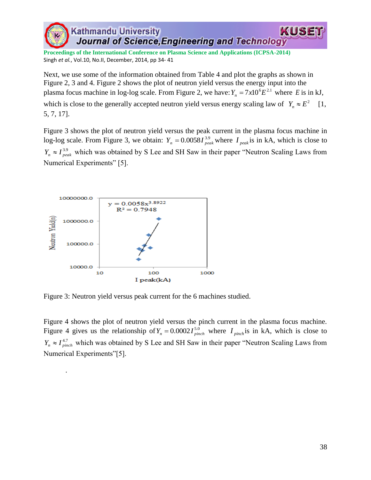**Proceedings of the International Conference on Plasma Science and Applications (ICPSA-2014)** Singh *et al.*, Vol.10, No.II, December, 2014, pp 34- 41

Next, we use some of the information obtained from Table 4 and plot the graphs as shown in Figure 2, 3 and 4. Figure 2 shows the plot of neutron yield versus the energy input into the plasma focus machine in log-log scale. From Figure 2, we have:  $Y_n = 7x10^6 E^{2.1}$  where E is in kJ, which is close to the generally accepted neutron yield versus energy scaling law of  $Y_n \approx E^2$  [1, 5, 7, 17].

Figure 3 shows the plot of neutron yield versus the peak current in the plasma focus machine in log-log scale. From Figure 3, we obtain:  $Y_n = 0.0058 I_{peak}^{3.9}$  where  $I_{peak}$  is in kA, which is close to  $Y_n \approx I_{peak}^{3.9}$  which was obtained by S Lee and SH Saw in their paper "Neutron Scaling Laws from Numerical Experiments" [5].



.

Figure 3: Neutron yield versus peak current for the 6 machines studied.

Figure 4 shows the plot of neutron yield versus the pinch current in the plasma focus machine. Figure 4 gives us the relationship of  $Y_n = 0.0002 I_{pinch}^{5.0}$  where  $I_{pinch}$  is in kA, which is close to  $Y_n \approx I_{pinch}^{4.7}$  which was obtained by S Lee and SH Saw in their paper "Neutron Scaling Laws from Numerical Experiments"[5].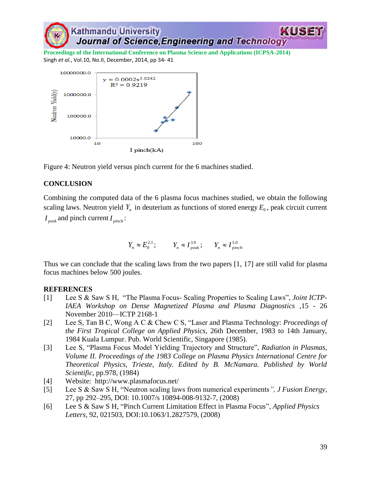

**Proceedings of the International Conference on Plasma Science and Applications (ICPSA-2014)** Singh *et al.*, Vol.10, No.II, December, 2014, pp 34- 41



Figure 4: Neutron yield versus pinch current for the 6 machines studied.

# **CONCLUSION**

Combining the computed data of the 6 plasma focus machines studied, we obtain the following scaling laws. Neutron yield  $Y_n$  in deuterium as functions of stored energy  $E_0$ , peak circuit current

*peak I* and pinch current *pinch I* :

$$
Y_n \approx E_0^{2.1}; \qquad Y_n \approx I_{peak}^{3.9}; \qquad Y_n \approx I_{pinch}^{5.0}
$$

Thus we can conclude that the scaling laws from the two papers [1, 17] are still valid for plasma focus machines below 500 joules.

## **REFERENCES**

- [1] Lee S & Saw S H, "The Plasma Focus- Scaling Properties to Scaling Laws", *Joint ICTP*-*IAEA Workshop on Dense Magnetized Plasma and Plasma Diagnostics* ,15 - 26 November 2010—ICTP 2168-1
- [2] Lee S, Tan B C, Wong A C & Chew C S, "Laser and Plasma Technology: *Proceedings of the First Tropical College on Applied Physics*, 26th December, 1983 to 14th January, 1984 Kuala Lumpur. Pub. World Scientific, Singapore (1985).
- [3] Lee S, "Plasma Focus Model Yielding Trajectory and Structure", *Radiation in Plasmas*, *Volume II. Proceedings of the 1983 College on Plasma Physics International Centre for Theoretical Physics, Trieste, Italy. Edited by B. McNamara. Published by World Scientific*, pp.978, (1984)
- [4] Website: http://www.plasmafocus.net/
- [5] Lee S & Saw S H, "Neutron scaling laws from numerical experiments", *J Fusion Energy*, 27, pp 292–295, DOI: 10.1007/s 10894-008-9132-7, (2008)
- [6] Lee S & Saw S H, "Pinch Current Limitation Effect in Plasma Focus", *Applied Physics Letters*, 92, 021503, DOI:10.1063/1.2827579, (2008)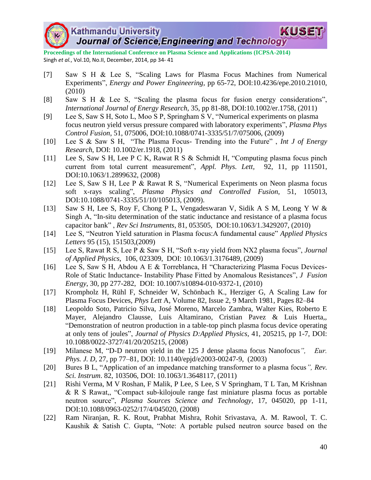

**Proceedings of the International Conference on Plasma Science and Applications (ICPSA-2014)** Singh *et al.*, Vol.10, No.II, December, 2014, pp 34- 41

- [7] Saw S H & Lee S, "Scaling Laws for Plasma Focus Machines from Numerical Experiments‖, *Energy and Power Engineering,* pp 65-72, DOI:10.4236/epe.2010.21010, (2010)
- [8] Saw S H & Lee S, "Scaling the plasma focus for fusion energy considerations", *International Journal of Energy Research,* 35, pp 81-88, DOI:10.1002/er.1758, (2011)
- [9] Lee S, Saw S H, Soto L, Moo S P, Springham S V, "Numerical experiments on plasma focus neutron yield versus pressure compared with laboratory experiments", *Plasma Phys Control Fusion*, 51, 075006, DOI:10.1088/0741-3335/51/7/075006, (2009)
- [10] Lee S & Saw S H, "The Plasma Focus- Trending into the Future", *Int J of Energy Research*, DOI: 10.1002/er.1918, (2011)
- [11] Lee S, Saw S H, Lee P C K, Rawat R S & Schmidt H, "Computing plasma focus pinch current from total current measurement", *Appl. Phys. Lett,* 92, 11, pp 111501, DOI:10.1063/1.2899632, (2008)
- [12] Lee S, Saw S H, Lee P & Rawat R S, "Numerical Experiments on Neon plasma focus soft x-rays scaling", *Plasma Physics and Controlled Fusion*, 51, 105013, DOI:10.1088/0741-3335/51/10/105013, (2009).
- [13] Saw S H, Lee S, Roy F, Chong P L, Vengadeswaran V, Sidik A S M, Leong Y W & Singh A, "In-situ determination of the static inductance and resistance of a plasma focus capacitor bank‖ , *Rev Sci Instruments*, 81, 053505, DOI:10.1063/1.3429207, (2010)
- [14] Lee S, "Neutron Yield saturation in Plasma focus:A fundamental cause" *Applied Physics Letters* 95 (15), 151503,(2009)
- [15] Lee S, Rawat R S, Lee P & Saw S H, "Soft x-ray yield from NX2 plasma focus", *Journal of Applied Physics*, 106, 023309, DOI: 10.1063/1.3176489, (2009)
- [16] Lee S, Saw S H, Abdou A E & Torreblanca, H "Characterizing Plasma Focus Devices-Role of Static Inductance- Instability Phase Fitted by Anomalous Resistances<sup>"</sup>, *J. Fusion Energy*, 30, pp 277-282, DOI: 10.1007/s10894-010-9372-1, (2010)
- [17] Krompholz H, Rühl F, Schneider W, Schönbach K., Herziger G, A Scaling Law for Plasma Focus Devices, *Phys Lett* A, Volume 82, Issue 2, 9 March 1981, Pages 82–84
- [18] Leopoldo Soto, Patricio Silva, José Moreno, Marcelo Zambra, Walter Kies, Roberto E Mayer, Alejandro Clausse, Luis Altamirano, Cristian Pavez & Luis Huerta,, ―Demonstration of neutron production in a table-top pinch plasma focus device operating at only tens of joules‖, *Journal of Physics D:Applied Physics*, 41, 205215, pp 1-7, DOI: 10.1088/0022-3727/41/20/205215, (2008)
- [19] Milanese M, "D-D neutron yield in the 125 J dense plasma focus Nanofocus", *Eur*. *Phys. J. D*, 27, pp 77–81, DOI: 10.1140/epjd/e2003-00247-9, (2003)
- [20] Bures B L, "Application of an impedance matching transformer to a plasma focus", Rev. *Sci. Instrum*. 82, 103506, DOI: 10.1063/1.3648117, (2011)
- [21] Rishi Verma, M V Roshan, F Malik, P Lee, S Lee, S V Springham, T L Tan, M Krishnan & R S Rawat,, "Compact sub-kilojoule range fast miniature plasma focus as portable neutron source", *Plasma Sources Science and Technology*, 17, 045020, pp 1-11, DOI:10.1088/0963-0252/17/4/045020, (2008)
- [22] Ram Niranjan, R. K. Rout, Prabhat Mishra, Rohit Srivastava, A. M. Rawool, T. C. Kaushik  $&$  Satish C. Gupta, "Note: A portable pulsed neutron source based on the